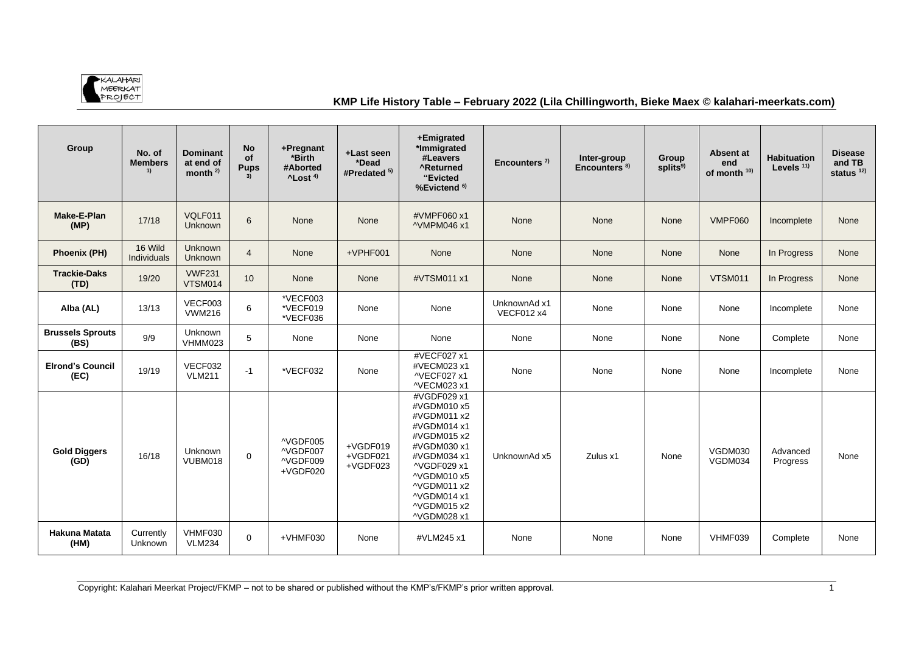

## **KMP Life History Table – February 2022 (Lila Chillingworth, Bieke Maex © kalahari-meerkats.com)**

| Group                           | No. of<br><b>Members</b><br>1) | <b>Dominant</b><br>at end of<br>month $2$ | <b>No</b><br>of<br><b>Pups</b> | +Pregnant<br>*Birth<br>#Aborted<br>$^4$ Lost <sup>4)</sup> | +Last seen<br>*Dead<br>#Predated <sup>5)</sup> | +Emigrated<br>*Immigrated<br>#Leavers<br><b>^Returned</b><br>"Evicted<br>%Evictend <sup>6)</sup>                                                                                                | Encounters $7$                    | Inter-group<br>Encounters <sup>8)</sup> | Group<br>splits <sup>9)</sup> | Absent at<br>end<br>of month <sup>10)</sup> | <b>Habituation</b><br>Levels $11$ | <b>Disease</b><br>and TB<br>status $12$ |
|---------------------------------|--------------------------------|-------------------------------------------|--------------------------------|------------------------------------------------------------|------------------------------------------------|-------------------------------------------------------------------------------------------------------------------------------------------------------------------------------------------------|-----------------------------------|-----------------------------------------|-------------------------------|---------------------------------------------|-----------------------------------|-----------------------------------------|
| Make-E-Plan<br>(MP)             | 17/18                          | VQLF011<br><b>Unknown</b>                 | 6                              | None                                                       | None                                           | #VMPF060 x1<br>^VMPM046 x1                                                                                                                                                                      | None                              | None                                    | None                          | <b>VMPF060</b>                              | Incomplete                        | None                                    |
| <b>Phoenix (PH)</b>             | 16 Wild<br>Individuals         | <b>Unknown</b><br>Unknown                 | $\overline{4}$                 | None                                                       | +VPHF001                                       | None                                                                                                                                                                                            | None                              | None                                    | None                          | None                                        | In Progress                       | None                                    |
| <b>Trackie-Daks</b><br>(TD)     | 19/20                          | <b>VWF231</b><br><b>VTSM014</b>           | 10                             | None                                                       | None                                           | #VTSM011 x1                                                                                                                                                                                     | None                              | None                                    | None                          | <b>VTSM011</b>                              | In Progress                       | None                                    |
| Alba (AL)                       | 13/13                          | VECF003<br><b>VWM216</b>                  | 6                              | *VECF003<br>*VECF019<br>*VECF036                           | None                                           | None                                                                                                                                                                                            | UnknownAd x1<br><b>VECF012 x4</b> | None                                    | None                          | None                                        | Incomplete                        | None                                    |
| <b>Brussels Sprouts</b><br>(BS) | 9/9                            | Unknown<br>VHMM023                        | 5                              | None                                                       | None                                           | None                                                                                                                                                                                            | None                              | None                                    | None                          | None                                        | Complete                          | None                                    |
| <b>Elrond's Council</b><br>(EC) | 19/19                          | VECF032<br><b>VLM211</b>                  | $-1$                           | *VECF032                                                   | None                                           | #VECF027 x1<br>#VECM023 x1<br>^VECF027 x1<br>^VECM023 x1                                                                                                                                        | None                              | None                                    | None                          | None                                        | Incomplete                        | None                                    |
| <b>Gold Diggers</b><br>(GD)     | 16/18                          | Unknown<br>VUBM018                        | 0                              | ^VGDF005<br>^VGDF007<br>^VGDF009<br>+VGDF020               | +VGDF019<br>+VGDF021<br>+VGDF023               | #VGDF029 x1<br>#VGDM010 x5<br>#VGDM011 x2<br>#VGDM014 x1<br>#VGDM015 x2<br>#VGDM030 x1<br>#VGDM034 x1<br>^VGDF029 x1<br>^VGDM010 x5<br>^VGDM011 x2<br>^VGDM014 x1<br>^VGDM015 x2<br>^VGDM028 x1 | UnknownAd x5                      | Zulus x1                                | None                          | VGDM030<br>VGDM034                          | Advanced<br>Progress              | None                                    |
| Hakuna Matata<br>(HM)           | Currently<br><b>Unknown</b>    | VHMF030<br><b>VLM234</b>                  | $\mathbf 0$                    | +VHMF030                                                   | None                                           | #VLM245 x1                                                                                                                                                                                      | None                              | None                                    | None                          | VHMF039                                     | Complete                          | None                                    |

Copyright: Kalahari Meerkat Project/FKMP – not to be shared or published without the KMP's/FKMP's prior written approval.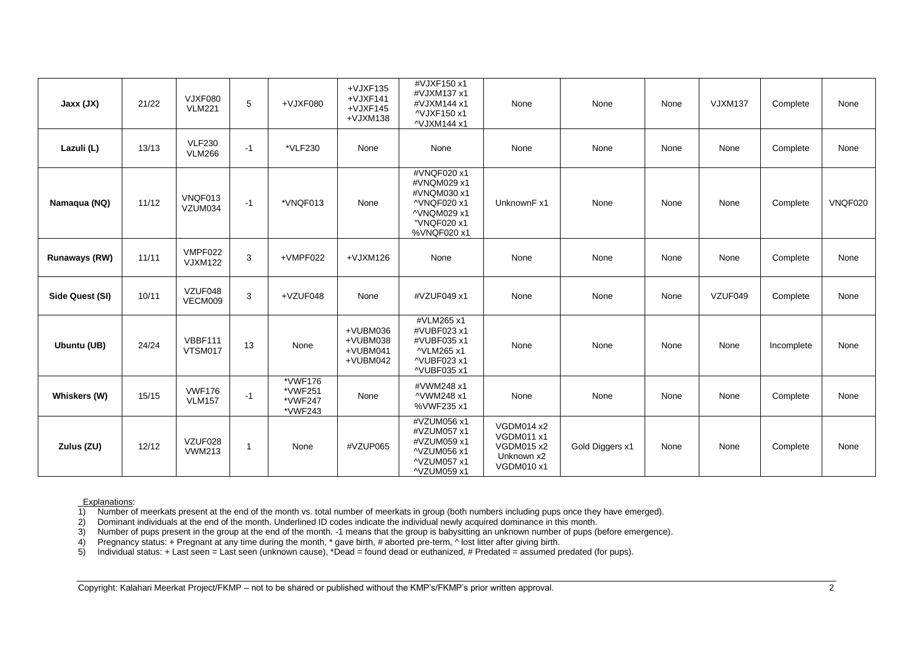| Jaxx (JX)       | 21/22 | VJXF080<br><b>VLM221</b>       | 5              | $+VJXF$ 080                              | $+VJXF135$<br>$+VJXF141$<br>$+VJXF145$<br>$+VJXM138$ | #VJXF150 x1<br>#VJXM137 x1<br>#VJXM144 x1<br>^VJXF150 x1<br>^VJXM144 x1                               | None                                                                                    | None            | None | <b>VJXM137</b> | Complete   | None           |
|-----------------|-------|--------------------------------|----------------|------------------------------------------|------------------------------------------------------|-------------------------------------------------------------------------------------------------------|-----------------------------------------------------------------------------------------|-----------------|------|----------------|------------|----------------|
| Lazuli (L)      | 13/13 | <b>VLF230</b><br><b>VLM266</b> | $-1$           | *VLF230                                  | None                                                 | None                                                                                                  | None                                                                                    | None            | None | None           | Complete   | None           |
| Namaqua (NQ)    | 11/12 | VNQF013<br>VZUM034             | $-1$           | *VNQF013                                 | None                                                 | #VNQF020 x1<br>#VNQM029 x1<br>#VNQM030 x1<br>^VNQF020 x1<br>^VNQM029 x1<br>"VNQF020 x1<br>%VNQF020 x1 | UnknownF x1                                                                             | None            | None | None           | Complete   | <b>VNQF020</b> |
| Runaways (RW)   | 11/11 | VMPF022<br><b>VJXM122</b>      | 3              | +VMPF022                                 | $+VJXM126$                                           | None                                                                                                  | None                                                                                    | None            | None | None           | Complete   | None           |
| Side Quest (SI) | 10/11 | VZUF048<br>VECM009             | 3              | +VZUF048                                 | None                                                 | #VZUF049 x1                                                                                           | None                                                                                    | None            | None | VZUF049        | Complete   | None           |
| Ubuntu (UB)     | 24/24 | <b>VBBF111</b><br>VTSM017      | 13             | None                                     | +VUBM036<br>+VUBM038<br>+VUBM041<br>+VUBM042         | #VLM265 x1<br>#VUBF023 x1<br>#VUBF035 x1<br>^VLM265 x1<br>^VUBF023 x1<br>^VUBF035 x1                  | None                                                                                    | None            | None | None           | Incomplete | None           |
| Whiskers (W)    | 15/15 | <b>VWF176</b><br><b>VLM157</b> | $-1$           | *VWF176<br>*VWF251<br>*VWF247<br>*VWF243 | None                                                 | #VWM248 x1<br>^VWM248 x1<br>%VWF235 x1                                                                | None                                                                                    | None            | None | None           | Complete   | None           |
| Zulus (ZU)      | 12/12 | VZUF028<br><b>VWM213</b>       | $\overline{1}$ | None                                     | #VZUP065                                             | #VZUM056 x1<br>#VZUM057 x1<br>#VZUM059 x1<br>^VZUM056 x1<br>^VZUM057 x1<br>^VZUM059 x1                | <b>VGDM014 x2</b><br><b>VGDM011 x1</b><br><b>VGDM015 x2</b><br>Unknown x2<br>VGDM010 x1 | Gold Diggers x1 | None | None           | Complete   | None           |

1) Number of meerkats present at the end of the month vs. total number of meerkats in group (both numbers including pups once they have emerged).

Explanations:<br>1) Number of<br>2) Dominant 2) Dominant individuals at the end of the month. Underlined ID codes indicate the individual newly acquired dominance in this month.

3) Number of pups present in the group at the end of the month. -1 means that the group is babysitting an unknown number of pups (before emergence).<br>4) Pregnancy status: + Pregnant at any time during the month, \* gave birt

4) Pregnancy status: + Pregnant at any time during the month, \* gave birth, # aborted pre-term, ^ lost litter after giving birth.

5) Individual status: + Last seen = Last seen (unknown cause), \*Dead = found dead or euthanized, # Predated = assumed predated (for pups).

Copyright: Kalahari Meerkat Project/FKMP – not to be shared or published without the KMP's/FKMP's prior written approval.